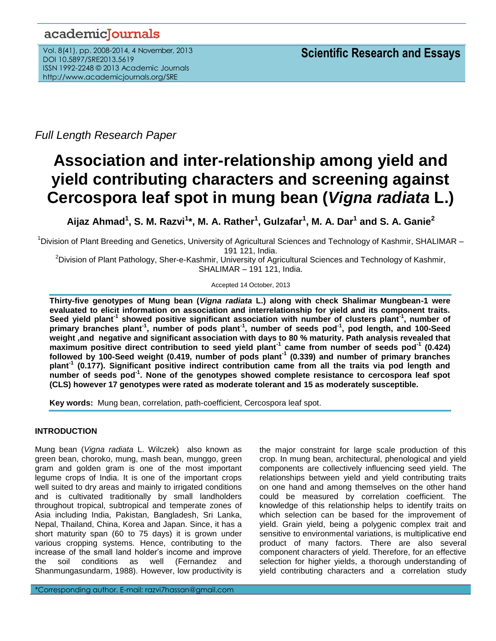# academicJournals

Vol. 8(41), pp. 2008-2014, 4 November, 2013 DOI 10.5897/SRE2013.5619 ISSN 1992-2248 © 2013 Academic Journals http://www.academicjournals.org/SRE

*Full Length Research Paper*

# **Association and inter-relationship among yield and yield contributing characters and screening against Cercospora leaf spot in mung bean (***Vigna radiata* **L.)**

**Aijaz Ahmad<sup>1</sup> , S. M. Razvi<sup>1</sup> \*, M. A. Rather<sup>1</sup> , Gulzafar<sup>1</sup> , M. A. Dar<sup>1</sup> and S. A. Ganie<sup>2</sup>**

<sup>1</sup>Division of Plant Breeding and Genetics, University of Agricultural Sciences and Technology of Kashmir, SHALIMAR – 191 121, India.

<sup>2</sup>Division of Plant Pathology, Sher-e-Kashmir, University of Agricultural Sciences and Technology of Kashmir, SHALIMAR – 191 121, India.

Accepted 14 October, 2013

**Thirty-five genotypes of Mung bean (***Vigna radiata* **L.) along with check Shalimar Mungbean-1 were evaluated to elicit information on association and interrelationship for yield and its component traits.**  Seed yield plant<sup>-1</sup> showed positive significant association with number of clusters plant<sup>-1</sup>, number of **primary branches plant-1 , number of pods plant-1 , number of seeds pod-1 , pod length, and 100-Seed weight ,and negative and significant association with days to 80 % maturity. Path analysis revealed that maximum positive direct contribution to seed yield plant-1 came from number of seeds pod-1 (0.424) followed by 100-Seed weight (0.419, number of pods plant-1 (0.339) and number of primary branches plant-1 (0.177). Significant positive indirect contribution came from all the traits via pod length and number of seeds pod-1 . None of the genotypes showed complete resistance to cercospora leaf spot (CLS) however 17 genotypes were rated as moderate tolerant and 15 as moderately susceptible.**

**Key words:** Mung bean, correlation, path-coefficient, Cercospora leaf spot.

# **INTRODUCTION**

Mung bean (*Vigna radiata* L. Wilczek) also known as green bean, choroko, mung, mash bean, munggo, green gram and golden gram is one of the most important legume crops of India. It is one of the important crops well suited to dry areas and mainly to irrigated conditions and is cultivated traditionally by small landholders throughout tropical, subtropical and temperate zones of Asia including India, Pakistan, Bangladesh, Sri Lanka, Nepal, Thailand, China, Korea and Japan. Since, it has a short maturity span (60 to 75 days) it is grown under various cropping systems. Hence, contributing to the increase of the small land holder's income and improve the soil conditions as well (Fernandez and Shanmungasundarm, 1988). However, low productivity is

\*Corresponding author. E-mail: razvi7hassan@gmail.com

the major constraint for large scale production of this crop. In mung bean, architectural, phenological and yield components are collectively influencing seed yield. The relationships between yield and yield contributing traits on one hand and among themselves on the other hand could be measured by correlation coefficient. The knowledge of this relationship helps to identify traits on which selection can be based for the improvement of yield. Grain yield, being a polygenic complex trait and sensitive to environmental variations, is multiplicative end product of many factors. There are also several component characters of yield. Therefore, for an effective selection for higher yields, a thorough understanding of yield contributing characters and a correlation study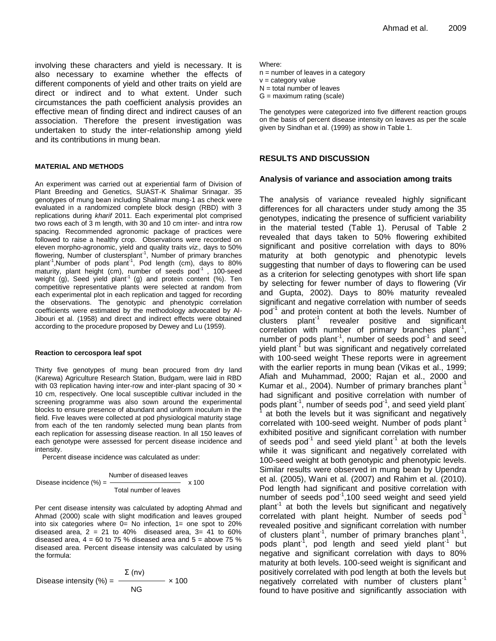involving these characters and yield is necessary. It is also necessary to examine whether the effects of different components of yield and other traits on yield are direct or indirect and to what extent. Under such circumstances the path coefficient analysis provides an effective mean of finding direct and indirect causes of an association. Therefore the present investigation was undertaken to study the inter-relationship among yield and its contributions in mung bean.

#### **MATERIAL AND METHODS**

An experiment was carried out at experiential farm of Division of Plant Breeding and Genetics, SUAST-K Shalimar Srinagar. 35 genotypes of mung bean including Shalimar mung-1 as check were evaluated in a randomized complete block design (RBD) with 3 replications during *kharif* 2011. Each experimental plot comprised two rows each of 3 m length, with 30 and 10 cm inter- and intra row spacing. Recommended agronomic package of practices were followed to raise a healthy crop. Observations were recorded on eleven morpho-agronomic, yield and quality traits *viz.,* days to 50% flowering, Number of clustersplant<sup>-1</sup>, Number of primary branches plant<sup>-1</sup>, Number of pods plant<sup>-1</sup>, Pod length (cm), days to 80% maturity, plant height (cm), number of seeds  $pod^{-1}$ , 100-seed weight (g), Seed yield plant<sup>-1</sup> (g) and protein content (%). Ten competitive representative plants were selected at random from each experimental plot in each replication and tagged for recording the observations. The genotypic and phenotypic correlation coefficients were estimated by the methodology advocated by Al-Jibouri et al. (1958) and direct and indirect effects were obtained according to the procedure proposed by Dewey and Lu (1959).

#### **Reaction to cercospora leaf spot**

Thirty five genotypes of mung bean procured from dry land (Karewa) Agriculture Research Station, Budgam, were laid in RBD with 03 replication having inter-row and inter-plant spacing of 30  $\times$ 10 cm, respectively. One local susceptible cultivar included in the screening programme was also sown around the experimental blocks to ensure presence of abundant and uniform inoculum in the field. Five leaves were collected at pod physiological maturity stage from each of the ten randomly selected mung bean plants from each replication for assessing disease reaction. In all 150 leaves of each genotype were assessed for percent disease incidence and intensity.

Percent disease incidence was calculated as under:

 Number of diseased leaves Disease incidence (%) = x 100 Total number of leaves

Per cent disease intensity was calculated by adopting Ahmad and Ahmad (2000) scale with slight modification and leaves grouped into six categories where 0= No infection, 1= one spot to 20% diseased area,  $2 = 21$  to 40% diseased area,  $3 = 41$  to 60% diseased area,  $4 = 60$  to 75 % diseased area and  $5 =$  above 75 % diseased area. Percent disease intensity was calculated by using the formula:

$$
Disease intensity (%) = \frac{\Sigma (nv)}{NG} \times 100
$$

Where:

n = number of leaves in a category  $v =$  category value  $N =$  total number of leaves  $G =$  maximum rating (scale)

The genotypes were categorized into five different reaction groups on the basis of percent disease intensity on leaves as per the scale given by Sindhan et al. (1999) as show in Table 1.

# **RESULTS AND DISCUSSION**

### **Analysis of variance and association among traits**

The analysis of variance revealed highly significant differences for all characters under study among the 35 genotypes, indicating the presence of sufficient variability in the material tested (Table 1). Perusal of Table 2 revealed that days taken to 50% flowering exhibited significant and positive correlation with days to 80% maturity at both genotypic and phenotypic levels suggesting that number of days to flowering can be used as a criterion for selecting genotypes with short life span by selecting for fewer number of days to flowering (Vir and Gupta, 2002). Days to 80% maturity revealed significant and negative correlation with number of seeds pod<sup>-1</sup> and protein content at both the levels. Number of .<br>clusters plant<sup>-1</sup> revealer positive and significant correlation with number of primary branches plant<sup>1</sup>, number of pods plant<sup>-1</sup>, number of seeds pod<sup>-1</sup> and seed yield plant<sup>-1</sup> but was significant and negatively correlated with 100-seed weight These reports were in agreement with the earlier reports in mung bean (Vikas et al., 1999; Afiah and Muhammad, 2000; Rajan et al., 2000 and Kumar et al., 2004). Number of primary branches plant<sup>-1</sup> had significant and positive correlation with number of pods plant<sup>-1</sup>, number of seeds pod<sup>-1</sup>, and seed yield plant<sup>-1</sup> 1 at both the levels but it was significant and negatively correlated with 100-seed weight. Number of pods plant exhibited positive and significant correlation with number of seeds  $pod^{-1}$  and seed yield plant<sup>1</sup> at both the levels while it was significant and negatively correlated with 100-seed weight at both genotypic and phenotypic levels. Similar results were observed in mung bean by Upendra et al. (2005), Wani et al. (2007) and Rahim et al. (2010). Pod length had significant and positive correlation with number of seeds  $pod^{-1}$ , 100 seed weight and seed yield plant<sup>1</sup> at both the levels but significant and negatively correlated with plant height. Number of seeds  $pod^{-1}$ revealed positive and significant correlation with number of clusters plant<sup>-1</sup>, number of primary branches plant<sup>-1</sup>, pods plant<sup>-1</sup>, pod length and seed yield plant<sup>-1</sup> but negative and significant correlation with days to 80% maturity at both levels. 100-seed weight is significant and positively correlated with pod length at both the levels but negatively correlated with number of clusters plant<sup>-1</sup> found to have positive and significantly association with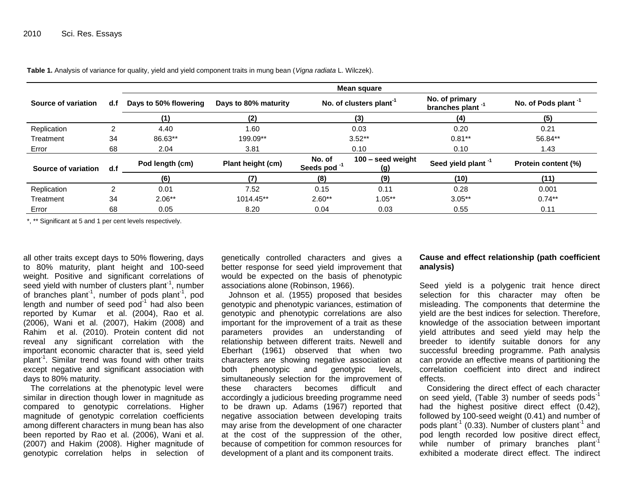**Table 1.** Analysis of variance for quality, yield and yield component traits in mung bean (*Vigna radiata* L. Wilczek).

|                     | d.f | Mean square           |                      |                                     |                          |                                                |                                 |  |  |
|---------------------|-----|-----------------------|----------------------|-------------------------------------|--------------------------|------------------------------------------------|---------------------------------|--|--|
| Source of variation |     | Days to 50% flowering | Days to 80% maturity | No. of clusters plant <sup>-1</sup> |                          | No. of primary<br>branches plant <sup>-1</sup> | No. of Pods plant <sup>-1</sup> |  |  |
|                     |     | (1)                   | (2)                  |                                     | (3)                      | (4)                                            | (5)                             |  |  |
| Replication         |     | 4.40                  | 1.60<br>0.03         |                                     | 0.20                     | 0.21                                           |                                 |  |  |
| Treatment           | 34  | 86.63**               | 199.09**             | $3.52**$                            |                          | $0.81***$                                      | 56.84**                         |  |  |
| Error               | 68  | 2.04                  | 3.81                 | 0.10                                |                          | 0.10                                           | 1.43                            |  |  |
| Source of variation | d.f | Pod length (cm)       | Plant height (cm)    | No. of<br>Seeds pod <sup>-1</sup>   | 100 - seed weight<br>(g) | Seed yield plant <sup>-1</sup>                 | Protein content (%)             |  |  |
|                     |     | (6)                   | (7)                  | (8)                                 | (9)                      | (10)                                           | (11)                            |  |  |
| Replication         | າ   | 0.01                  | 7.52                 | 0.15                                | 0.11                     | 0.28                                           | 0.001                           |  |  |
| Treatment           | 34  | $2.06**$              | 1014.45**            | $2.60**$                            | $1.05***$                | $3.05***$                                      | $0.74***$                       |  |  |
| Error               | 68  | 0.05                  | 8.20                 | 0.04                                | 0.03                     | 0.55                                           | 0.11                            |  |  |

\*, \*\* Significant at 5 and 1 per cent levels respectively.

all other traits except days to 50% flowering, days to 80% maturity, plant height and 100-seed weight. Positive and significant correlations of seed yield with number of clusters plant<sup>-1</sup>, number of branches plant<sup>1</sup>, number of pods plant<sup>1</sup>, pod length and number of seed pod<sup>-1</sup> had also been reported by Kumar et al. (2004), Rao et al. (2006), Wani et al. (2007), Hakim (2008) and Rahim et al. (2010). Protein content did not reveal any significant correlation with the important economic character that is, seed yield plant<sup>-1</sup>. Similar trend was found with other traits except negative and significant association with days to 80% maturity.

The correlations at the phenotypic level were similar in direction though lower in magnitude as compared to genotypic correlations. Higher magnitude of genotypic correlation coefficients among different characters in mung bean has also been reported by Rao et al. (2006), Wani et al. (2007) and Hakim (2008). Higher magnitude of genotypic correlation helps in selection of

genetically controlled characters and gives a better response for seed yield improvement that would be expected on the basis of phenotypic associations alone (Robinson, 1966).

Johnson et al. (1955) proposed that besides genotypic and phenotypic variances, estimation of genotypic and phenotypic correlations are also important for the improvement of a trait as these parameters provides an understanding of relationship between different traits. Newell and Eberhart (1961) observed that when two characters are showing negative association at both phenotypic and genotypic levels, simultaneously selection for the improvement of these characters becomes difficult and accordingly a judicious breeding programme need to be drawn up. Adams (1967) reported that negative association between developing traits may arise from the development of one character at the cost of the suppression of the other, because of competition for common resources for development of a plant and its component traits.

# **Cause and effect relationship (path coefficient analysis)**

Seed yield is a polygenic trait hence direct selection for this character may often be misleading. The components that determine the yield are the best indices for selection. Therefore, knowledge of the association between important yield attributes and seed yield may help the breeder to identify suitable donors for any successful breeding programme. Path analysis can provide an effective means of partitioning the correlation coefficient into direct and indirect effects.

Considering the direct effect of each character on seed yield, (Table 3) number of seeds pods<sup>-1</sup> had the highest positive direct effect (0.42), followed by 100-seed weight (0.41) and number of pods plant<sup>-1</sup> (0.33). Number of clusters plant<sup>-1</sup> and pod length recorded low positive direct effect, while number of primary branches plant<sup>-1</sup> exhibited a moderate direct effect. The indirect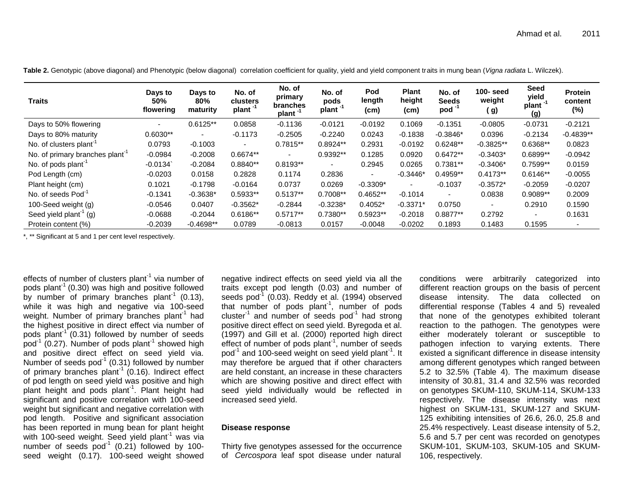| <b>Traits</b>                               | Days to<br>50%<br>flowering | Days to<br>$80\%$<br>maturity | No. of<br>clusters<br>plant <sup>-1</sup> | No. of<br>primary<br>branches<br>plant <sup>-1</sup> | No. of<br>pods<br>plant <sup>-1</sup> | Pod<br>length<br>(cm) | <b>Plant</b><br>height<br>(cm) | No. of<br><b>Seeds</b><br>pod <sup>-</sup> | 100- seed<br>weight<br>( g) | Seed<br>yield<br>plant <sup>-1</sup><br>(g) | <b>Protein</b><br>content<br>$(\%)$ |
|---------------------------------------------|-----------------------------|-------------------------------|-------------------------------------------|------------------------------------------------------|---------------------------------------|-----------------------|--------------------------------|--------------------------------------------|-----------------------------|---------------------------------------------|-------------------------------------|
| Days to 50% flowering                       | $\overline{\phantom{0}}$    | $0.6125**$                    | 0.0858                                    | $-0.1136$                                            | $-0.0121$                             | $-0.0192$             | 0.1069                         | $-0.1351$                                  | $-0.0805$                   | $-0.0731$                                   | $-0.2121$                           |
| Days to 80% maturity                        | $0.6030**$                  | $\overline{\phantom{a}}$      | $-0.1173$                                 | $-0.2505$                                            | $-0.2240$                             | 0.0243                | $-0.1838$                      | $-0.3846*$                                 | 0.0396                      | $-0.2134$                                   | $-0.4839**$                         |
| No. of clusters plant <sup>-1</sup>         | 0.0793                      | $-0.1003$                     | $\sim$                                    | $0.7815**$                                           | $0.8924**$                            | 0.2931                | $-0.0192$                      | $0.6248**$                                 | $-0.3825**$                 | 0.6368**                                    | 0.0823                              |
| No. of primary branches plant <sup>-1</sup> | $-0.0984$                   | $-0.2008$                     | 0.6674**                                  | $\overline{\phantom{a}}$                             | 0.9392**                              | 0.1285                | 0.0920                         | $0.6472**$                                 | $-0.3403*$                  | 0.6899**                                    | $-0.0942$                           |
| No. of pods plant <sup>-1</sup>             | $-0.0134$                   | $-0.2084$                     | $0.8840**$                                | $0.8193**$                                           | $\overline{\phantom{0}}$              | 0.2945                | 0.0265                         | $0.7381**$                                 | $-0.3406*$                  | $0.7599**$                                  | 0.0159                              |
| Pod Length (cm)                             | $-0.0203$                   | 0.0158                        | 0.2828                                    | 0.1174                                               | 0.2836                                | $\sim$                | $-0.3446*$                     | $0.4959**$                                 | $0.4173**$                  | $0.6146**$                                  | $-0.0055$                           |
| Plant height (cm)                           | 0.1021                      | $-0.1798$                     | $-0.0164$                                 | 0.0737                                               | 0.0269                                | $-0.3309*$            | $\sim$                         | $-0.1037$                                  | $-0.3572*$                  | $-0.2059$                                   | $-0.0207$                           |
| No. of seeds Pod <sup>-1</sup>              | $-0.1341$                   | $-0.3638*$                    | 0.5933**                                  | $0.5137**$                                           | 0.7008**                              | $0.4652**$            | $-0.1014$                      | $\blacksquare$                             | 0.0838                      | 0.9089**                                    | 0.2009                              |
| 100-Seed weight (g)                         | $-0.0546$                   | 0.0407                        | $-0.3562*$                                | $-0.2844$                                            | $-0.3238*$                            | $0.4052*$             | $-0.3371*$                     | 0.0750                                     | $\overline{\phantom{0}}$    | 0.2910                                      | 0.1590                              |
| Seed yield plant <sup>-1</sup> (g)          | $-0.0688$                   | $-0.2044$                     | $0.6186**$                                | $0.5717**$                                           | $0.7380**$                            | 0.5923**              | $-0.2018$                      | $0.8877**$                                 | 0.2792                      |                                             | 0.1631                              |
| Protein content (%)                         | $-0.2039$                   | $-0.4698**$                   | 0.0789                                    | $-0.0813$                                            | 0.0157                                | $-0.0048$             | $-0.0202$                      | 0.1893                                     | 0.1483                      | 0.1595                                      | $\overline{\phantom{0}}$            |

**Table 2.** Genotypic (above diagonal) and Phenotypic (below diagonal) correlation coefficient for quality, yield and yield component traits in mung bean (*Vigna radiata* L. Wilczek).

\*, \*\* Significant at 5 and 1 per cent level respectively.

effects of number of clusters plant $^{-1}$  via number of pods plant<sup>-1</sup> (0.30) was high and positive followed by number of primary branches plant<sup>1</sup> (0.13), while it was high and negative via 100-seed weight. Number of primary branches plant<sup>1</sup> had the highest positive in direct effect via number of pods  $p$ lant<sup>-1</sup> (0.31) followed by number of seeds  $\text{pod}^1$  (0.27). Number of pods plant<sup>-1</sup> showed high and positive direct effect on seed yield via. Number of seeds  $pod^{-1}$  (0.31) followed by number of primary branches plant<sup>-1</sup> (0.16). Indirect effect of pod length on seed yield was positive and high plant height and pods plant<sup>1</sup>. Plant height had significant and positive correlation with 100-seed weight but significant and negative correlation with pod length. Positive and significant association has been reported in mung bean for plant height with 100-seed weight. Seed vield plant<sup>-1</sup> was via number of seeds  $pod^{-1}$  (0.21) followed by 100seed weight (0.17). 100-seed weight showed

negative indirect effects on seed yield via all the traits except pod length (0.03) and number of seeds pod<sup>-1</sup> (0.03). Reddy et al. (1994) observed that number of pods plant<sup>1</sup>, number of pods cluster<sup>1</sup> and number of seeds pod<sup>1</sup> had strong positive direct effect on seed yield. Byregoda et al. (1997) and Gill et al. (2000) reported high direct effect of number of pods plant<sup>-1</sup>, number of seeds pod<sup>-1</sup> and 100-seed weight on seed yield plant<sup>-1</sup>. It may therefore be argued that if other characters are held constant, an increase in these characters which are showing positive and direct effect with seed yield individually would be reflected in increased seed yield.

#### **Disease response**

Thirty five genotypes assessed for the occurrence of *Cercospora* leaf spot disease under natural conditions were arbitrarily categorized into different reaction groups on the basis of percent disease intensity. The data collected on differential response (Tables 4 and 5) revealed that none of the genotypes exhibited tolerant reaction to the pathogen. The genotypes were either moderately tolerant or susceptible to pathogen infection to varying extents. There existed a significant difference in disease intensity among different genotypes which ranged between 5.2 to 32.5% (Table 4). The maximum disease intensity of 30.81, 31.4 and 32.5% was recorded on genotypes SKUM-110, SKUM-114, SKUM-133 respectively. The disease intensity was next highest on SKUM-131, SKUM-127 and SKUM-125 exhibiting intensities of 26.6, 26.0, 25.8 and 25.4% respectively. Least disease intensity of 5.2, 5.6 and 5.7 per cent was recorded on genotypes SKUM-101, SKUM-103, SKUM-105 and SKUM-106, respectively.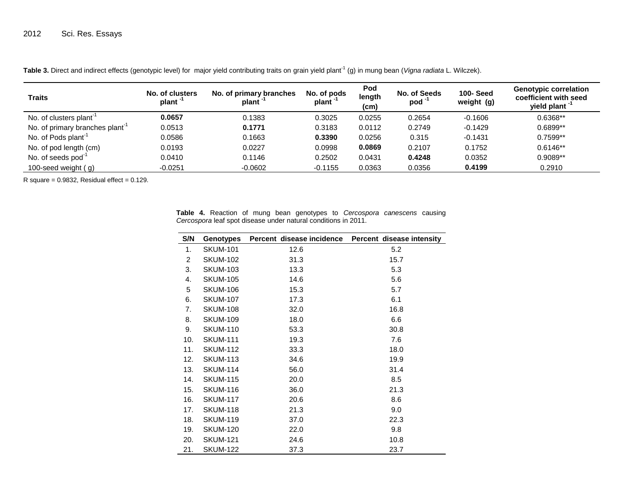| <b>Traits</b>                               | No. of clusters<br>plant <sup>-1</sup> | No. of primary branches<br>plant | No. of pods<br>plant <sup>-</sup> | Pod<br>length<br>(c <sub>m</sub> ) | No. of Seeds<br>$pod^{-1}$ | <b>100-Seed</b><br>weight (g) | <b>Genotypic correlation</b><br>coefficient with seed<br>yield plant <sup>-1</sup> |
|---------------------------------------------|----------------------------------------|----------------------------------|-----------------------------------|------------------------------------|----------------------------|-------------------------------|------------------------------------------------------------------------------------|
| No. of clusters plant <sup>-1</sup>         | 0.0657                                 | 0.1383                           | 0.3025                            | 0.0255                             | 0.2654                     | $-0.1606$                     | $0.6368**$                                                                         |
| No. of primary branches plant <sup>-1</sup> | 0.0513                                 | 0.1771                           | 0.3183                            | 0.0112                             | 0.2749                     | $-0.1429$                     | $0.6899**$                                                                         |
| No. of Pods plant <sup>-1</sup>             | 0.0586                                 | 0.1663                           | 0.3390                            | 0.0256                             | 0.315                      | $-0.1431$                     | $0.7599**$                                                                         |
| No. of pod length (cm)                      | 0.0193                                 | 0.0227                           | 0.0998                            | 0.0869                             | 0.2107                     | 0.1752                        | $0.6146**$                                                                         |
| No. of seeds pod <sup>-1</sup>              | 0.0410                                 | 0.1146                           | 0.2502                            | 0.0431                             | 0.4248                     | 0.0352                        | $0.9089**$                                                                         |
| 100-seed weight $(g)$                       | $-0.0251$                              | $-0.0602$                        | $-0.1155$                         | 0.0363                             | 0.0356                     | 0.4199                        | 0.2910                                                                             |

Table 3. Direct and indirect effects (genotypic level) for major yield contributing traits on grain yield plant<sup>-1</sup> (g) in mung bean (*Vigna radiata* L. Wilczek).

 $R$  square = 0.9832, Residual effect = 0.129.

**Table 4.** Reaction of mung bean genotypes to *Cercospora canescens* causing *Cercospora* leaf spot disease under natural conditions in 2011.

| S/N            | Genotypes       | Percent disease incidence | Percent disease intensity |
|----------------|-----------------|---------------------------|---------------------------|
| 1.             | <b>SKUM-101</b> | 12.6                      | 5.2                       |
| $\overline{2}$ | <b>SKUM-102</b> | 31.3                      | 15.7                      |
| 3.             | <b>SKUM-103</b> | 13.3                      | 5.3                       |
| 4.             | <b>SKUM-105</b> | 14.6                      | 5.6                       |
| 5              | <b>SKUM-106</b> | 15.3                      | 5.7                       |
| 6.             | <b>SKUM-107</b> | 17.3                      | 6.1                       |
| 7.             | <b>SKUM-108</b> | 32.0                      | 16.8                      |
| 8.             | <b>SKUM-109</b> | 18.0                      | 6.6                       |
| 9.             | <b>SKUM-110</b> | 53.3                      | 30.8                      |
| 10.            | <b>SKUM-111</b> | 19.3                      | 7.6                       |
| 11.            | <b>SKUM-112</b> | 33.3                      | 18.0                      |
| 12.            | <b>SKUM-113</b> | 34.6                      | 19.9                      |
| 13.            | <b>SKUM-114</b> | 56.0                      | 31.4                      |
| 14.            | <b>SKUM-115</b> | 20.0                      | 8.5                       |
| 15.            | <b>SKUM-116</b> | 36.0                      | 21.3                      |
| 16.            | <b>SKUM-117</b> | 20.6                      | 8.6                       |
| 17.            | <b>SKUM-118</b> | 21.3                      | 9.0                       |
| 18.            | <b>SKUM-119</b> | 37.0                      | 22.3                      |
| 19.            | <b>SKUM-120</b> | 22.0                      | 9.8                       |
| 20.            | <b>SKUM-121</b> | 24.6                      | 10.8                      |
| 21.            | <b>SKUM-122</b> | 37.3                      | 23.7                      |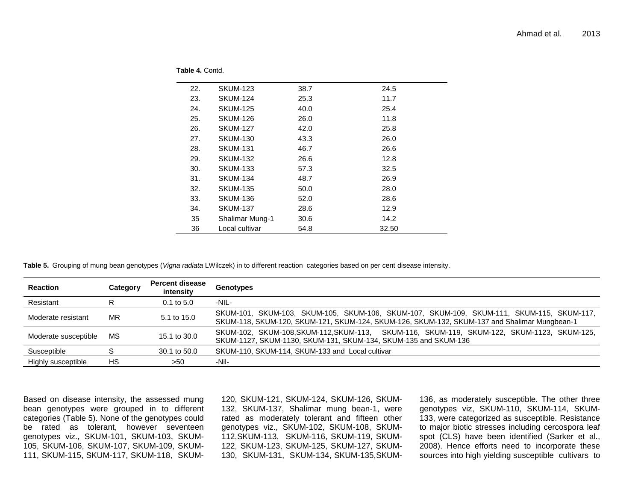**Table 4.** Contd.

| 22. | <b>SKUM-123</b>        | 38.7 | 24.5  |
|-----|------------------------|------|-------|
| 23. | <b>SKUM-124</b>        | 25.3 | 11.7  |
| 24. | <b>SKUM-125</b>        | 40.0 | 25.4  |
| 25. | <b>SKUM-126</b>        | 26.0 | 11.8  |
| 26. | <b>SKUM-127</b>        | 42.0 | 25.8  |
| 27. | <b>SKUM-130</b>        | 43.3 | 26.0  |
| 28. | <b>SKUM-131</b>        | 46.7 | 26.6  |
| 29. | <b>SKUM-132</b>        | 26.6 | 12.8  |
| 30. | <b>SKUM-133</b>        | 57.3 | 32.5  |
| 31. | <b>SKUM-134</b>        | 48.7 | 26.9  |
| 32. | <b>SKUM-135</b>        | 50.0 | 28.0  |
| 33. | <b>SKUM-136</b>        | 52.0 | 28.6  |
| 34. | <b>SKUM-137</b>        | 28.6 | 12.9  |
| 35  | <b>Shalimar Mung-1</b> | 30.6 | 14.2  |
| 36  | Local cultivar         | 54.8 | 32.50 |

**Table 5.** Grouping of mung bean genotypes (*Vigna radiata* LWilczek) in to different reaction categories based on per cent disease intensity.

| <b>Reaction</b>      | Category | <b>Percent disease</b><br>intensity | Genotypes                                                                                                                                                                                 |
|----------------------|----------|-------------------------------------|-------------------------------------------------------------------------------------------------------------------------------------------------------------------------------------------|
| Resistant            |          | $0.1$ to $5.0$                      | -NIL-                                                                                                                                                                                     |
| Moderate resistant   | MR       | 5.1 to 15.0                         | SKUM-101, SKUM-103, SKUM-105, SKUM-106, SKUM-107, SKUM-109, SKUM-111, SKUM-115, SKUM-117,<br>SKUM-118, SKUM-120, SKUM-121, SKUM-124, SKUM-126, SKUM-132, SKUM-137 and Shalimar Mungbean-1 |
| Moderate susceptible | MS.      | 15.1 to 30.0                        | SKUM-102, SKUM-108, SKUM-112, SKUM-113, SKUM-116, SKUM-119, SKUM-122, SKUM-1123, SKUM-125,<br>SKUM-1127, SKUM-1130, SKUM-131, SKUM-134, SKUM-135 and SKUM-136                             |
| Susceptible          |          | 30.1 to 50.0                        | SKUM-110, SKUM-114, SKUM-133 and Local cultivar                                                                                                                                           |
| Highly susceptible   | HS       | >50                                 | -Nil-                                                                                                                                                                                     |

Based on disease intensity, the assessed mung bean genotypes were grouped in to different categories (Table 5). None of the genotypes could be rated as tolerant, however seventeen genotypes viz., SKUM-101, SKUM-103, SKUM-105, SKUM-106, SKUM-107, SKUM-109, SKUM-111, SKUM-115, SKUM-117, SKUM-118, SKUM-

120, SKUM-121, SKUM-124, SKUM-126, SKUM-132, SKUM-137, Shalimar mung bean-1, were rated as moderately tolerant and fifteen other genotypes viz., SKUM-102, SKUM-108, SKUM-112,SKUM-113, SKUM-116, SKUM-119, SKUM-122, SKUM-123, SKUM-125, SKUM-127, SKUM-130, SKUM-131, SKUM-134, SKUM-135,SKUM-

136, as moderately susceptible. The other three genotypes viz, SKUM-110, SKUM-114, SKUM-133, were categorized as susceptible. Resistance to major biotic stresses including cercospora leaf spot (CLS) have been identified (Sarker et al., 2008). Hence efforts need to incorporate these sources into high yielding susceptible cultivars to